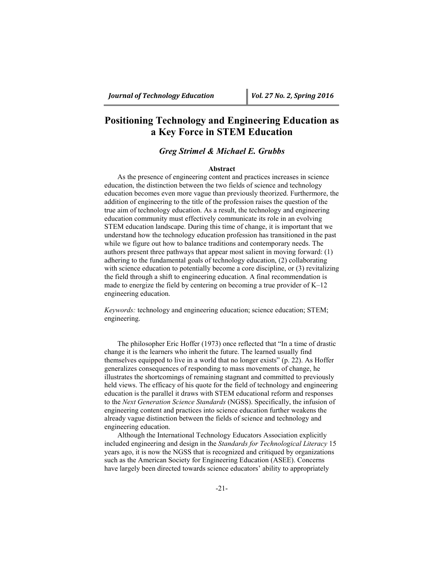# **Positioning Technology and Engineering Education as a Key Force in STEM Education**

## *Greg Strimel & Michael E. Grubbs*

## **Abstract**

As the presence of engineering content and practices increases in science education, the distinction between the two fields of science and technology education becomes even more vague than previously theorized. Furthermore, the addition of engineering to the title of the profession raises the question of the true aim of technology education. As a result, the technology and engineering education community must effectively communicate its role in an evolving STEM education landscape. During this time of change, it is important that we understand how the technology education profession has transitioned in the past while we figure out how to balance traditions and contemporary needs. The authors present three pathways that appear most salient in moving forward: (1) adhering to the fundamental goals of technology education, (2) collaborating with science education to potentially become a core discipline, or (3) revitalizing the field through a shift to engineering education. A final recommendation is made to energize the field by centering on becoming a true provider of K–12 engineering education.

*Keywords:* technology and engineering education; science education; STEM; engineering.

The philosopher Eric Hoffer (1973) once reflected that "In a time of drastic change it is the learners who inherit the future. The learned usually find themselves equipped to live in a world that no longer exists" (p. 22). As Hoffer generalizes consequences of responding to mass movements of change, he illustrates the shortcomings of remaining stagnant and committed to previously held views. The efficacy of his quote for the field of technology and engineering education is the parallel it draws with STEM educational reform and responses to the *Next Generation Science Standards* (NGSS). Specifically, the infusion of engineering content and practices into science education further weakens the already vague distinction between the fields of science and technology and engineering education.

Although the International Technology Educators Association explicitly included engineering and design in the *Standards for Technological Literacy* 15 years ago, it is now the NGSS that is recognized and critiqued by organizations such as the American Society for Engineering Education (ASEE). Concerns have largely been directed towards science educators' ability to appropriately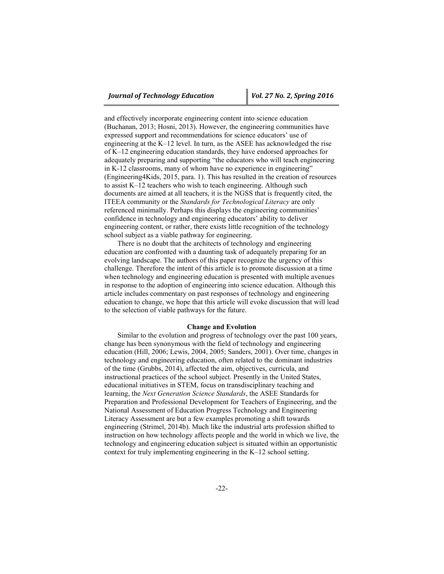and effectively incorporate engineering content into science education (Buchanan, 2013; Hosni, 2013). However, the engineering communities have expressed support and recommendations for science educators' use of engineering at the K–12 level. In turn, as the ASEE has acknowledged the rise of K–12 engineering education standards, they have endorsed approaches for adequately preparing and supporting "the educators who will teach engineering in K-12 classrooms, many of whom have no experience in engineering" (Engineering4Kids, 2015, para. 1). This has resulted in the creation of resources to assist K–12 teachers who wish to teach engineering. Although such documents are aimed at all teachers, it is the NGSS that is frequently cited, the ITEEA community or the *Standards for Technological Literacy* are only referenced minimally. Perhaps this displays the engineering communities' confidence in technology and engineering educators' ability to deliver engineering content, or rather, there exists little recognition of the technology school subject as a viable pathway for engineering.

There is no doubt that the architects of technology and engineering education are confronted with a daunting task of adequately preparing for an evolving landscape. The authors of this paper recognize the urgency of this challenge. Therefore the intent of this article is to promote discussion at a time when technology and engineering education is presented with multiple avenues in response to the adoption of engineering into science education. Although this article includes commentary on past responses of technology and engineering education to change, we hope that this article will evoke discussion that will lead to the selection of viable pathways for the future.

### **Change and Evolution**

Similar to the evolution and progress of technology over the past 100 years, change has been synonymous with the field of technology and engineering education (Hill, 2006; Lewis, 2004, 2005; Sanders, 2001). Over time, changes in technology and engineering education, often related to the dominant industries of the time (Grubbs, 2014), affected the aim, objectives, curricula, and instructional practices of the school subject. Presently in the United States, educational initiatives in STEM, focus on transdisciplinary teaching and learning, the *Next Generation Science Standards*, the ASEE Standards for Preparation and Professional Development for Teachers of Engineering, and the National Assessment of Education Progress Technology and Engineering Literacy Assessment are but a few examples promoting a shift towards engineering (Strimel, 2014b). Much like the industrial arts profession shifted to instruction on how technology affects people and the world in which we live, the technology and engineering education subject is situated within an opportunistic context for truly implementing engineering in the K–12 school setting.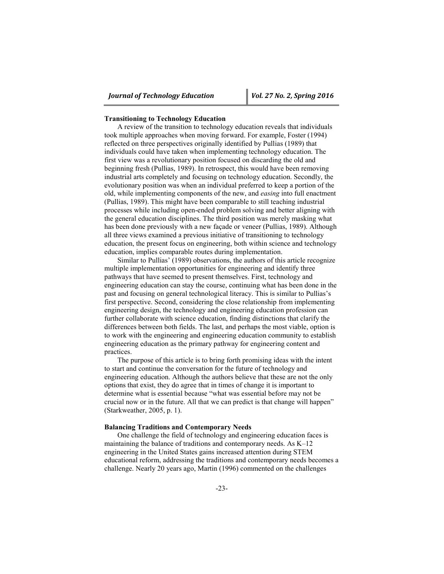#### **Transitioning to Technology Education**

A review of the transition to technology education reveals that individuals took multiple approaches when moving forward. For example, Foster (1994) reflected on three perspectives originally identified by Pullias (1989) that individuals could have taken when implementing technology education. The first view was a revolutionary position focused on discarding the old and beginning fresh (Pullias, 1989). In retrospect, this would have been removing industrial arts completely and focusing on technology education. Secondly, the evolutionary position was when an individual preferred to keep a portion of the old, while implementing components of the new, and *easing* into full enactment (Pullias, 1989). This might have been comparable to still teaching industrial processes while including open-ended problem solving and better aligning with the general education disciplines. The third position was merely masking what has been done previously with a new façade or veneer (Pullias, 1989). Although all three views examined a previous initiative of transitioning to technology education, the present focus on engineering, both within science and technology education, implies comparable routes during implementation.

Similar to Pullias' (1989) observations, the authors of this article recognize multiple implementation opportunities for engineering and identify three pathways that have seemed to present themselves. First, technology and engineering education can stay the course, continuing what has been done in the past and focusing on general technological literacy. This is similar to Pullias's first perspective. Second, considering the close relationship from implementing engineering design, the technology and engineering education profession can further collaborate with science education, finding distinctions that clarify the differences between both fields. The last, and perhaps the most viable, option is to work with the engineering and engineering education community to establish engineering education as the primary pathway for engineering content and practices.

The purpose of this article is to bring forth promising ideas with the intent to start and continue the conversation for the future of technology and engineering education. Although the authors believe that these are not the only options that exist, they do agree that in times of change it is important to determine what is essential because "what was essential before may not be crucial now or in the future. All that we can predict is that change will happen" (Starkweather, 2005, p. 1).

## **Balancing Traditions and Contemporary Needs**

One challenge the field of technology and engineering education faces is maintaining the balance of traditions and contemporary needs. As K–12 engineering in the United States gains increased attention during STEM educational reform, addressing the traditions and contemporary needs becomes a challenge. Nearly 20 years ago, Martin (1996) commented on the challenges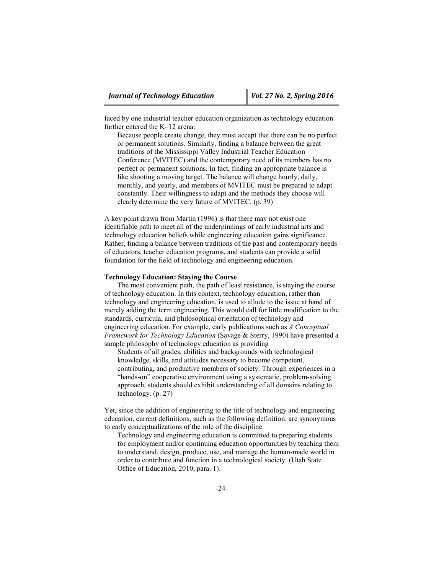faced by one industrial teacher education organization as technology education further entered the K–12 arena:

Because people create change, they must accept that there can be no perfect or permanent solutions. Similarly, finding a balance between the great traditions of the Mississippi Valley Industrial Teacher Education Conference (MVITEC) and the contemporary need of its members has no perfect or permanent solutions. In fact, finding an appropriate balance is like shooting a moving target. The balance will change hourly, daily, monthly, and yearly, and members of MVITEC must be prepared to adapt constantly. Their willingness to adapt and the methods they choose will clearly determine the very future of MVITEC. (p. 39)

A key point drawn from Martin (1996) is that there may not exist one identifiable path to meet all of the underpinnings of early industrial arts and technology education beliefs while engineering education gains significance. Rather, finding a balance between traditions of the past and contemporary needs of educators, teacher education programs, and students can provide a solid foundation for the field of technology and engineering education.

## **Technology Education: Staying the Course**

The most convenient path, the path of least resistance, is staying the course of technology education. In this context, technology education, rather than technology and engineering education, is used to allude to the issue at hand of merely adding the term engineering. This would call for little modification to the standards, curricula, and philosophical orientation of technology and engineering education. For example, early publications such as *A Conceptual Framework for Technology Education* (Savage & Sterry, 1990) have presented a sample philosophy of technology education as providing

Students of all grades, abilities and backgrounds with technological knowledge, skills, and attitudes necessary to become competent, contributing, and productive members of society. Through experiences in a "hands-on" cooperative environment using a systematic, problem-solving approach, students should exhibit understanding of all domains relating to technology. (p. 27)

Yet, since the addition of engineering to the title of technology and engineering education, current definitions, such as the following definition, are synonymous to early conceptualizations of the role of the discipline.

Technology and engineering education is committed to preparing students for employment and/or continuing education opportunities by teaching them to understand, design, produce, use, and manage the human-made world in order to contribute and function in a technological society. (Utah State Office of Education, 2010, para. 1).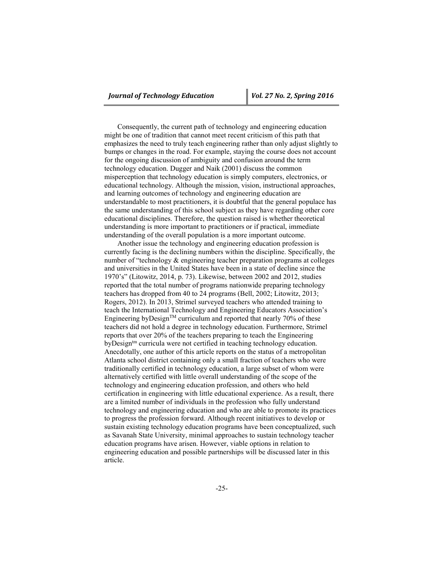Consequently, the current path of technology and engineering education might be one of tradition that cannot meet recent criticism of this path that emphasizes the need to truly teach engineering rather than only adjust slightly to bumps or changes in the road. For example, staying the course does not account for the ongoing discussion of ambiguity and confusion around the term technology education. Dugger and Naik (2001) discuss the common misperception that technology education is simply computers, electronics, or educational technology. Although the mission, vision, instructional approaches, and learning outcomes of technology and engineering education are understandable to most practitioners, it is doubtful that the general populace has the same understanding of this school subject as they have regarding other core educational disciplines. Therefore, the question raised is whether theoretical understanding is more important to practitioners or if practical, immediate understanding of the overall population is a more important outcome.

Another issue the technology and engineering education profession is currently facing is the declining numbers within the discipline. Specifically, the number of "technology & engineering teacher preparation programs at colleges and universities in the United States have been in a state of decline since the 1970's" (Litowitz, 2014, p. 73). Likewise, between 2002 and 2012, studies reported that the total number of programs nationwide preparing technology teachers has dropped from 40 to 24 programs (Bell, 2002; Litowitz, 2013; Rogers, 2012). In 2013, Strimel surveyed teachers who attended training to teach the International Technology and Engineering Educators Association's Engineering byDesign<sup>TM</sup> curriculum and reported that nearly 70% of these teachers did not hold a degree in technology education. Furthermore, Strimel reports that over 20% of the teachers preparing to teach the Engineering byDesign<sup>tm</sup> curricula were not certified in teaching technology education. Anecdotally, one author of this article reports on the status of a metropolitan Atlanta school district containing only a small fraction of teachers who were traditionally certified in technology education, a large subset of whom were alternatively certified with little overall understanding of the scope of the technology and engineering education profession, and others who held certification in engineering with little educational experience. As a result, there are a limited number of individuals in the profession who fully understand technology and engineering education and who are able to promote its practices to progress the profession forward. Although recent initiatives to develop or sustain existing technology education programs have been conceptualized, such as Savanah State University, minimal approaches to sustain technology teacher education programs have arisen. However, viable options in relation to engineering education and possible partnerships will be discussed later in this article.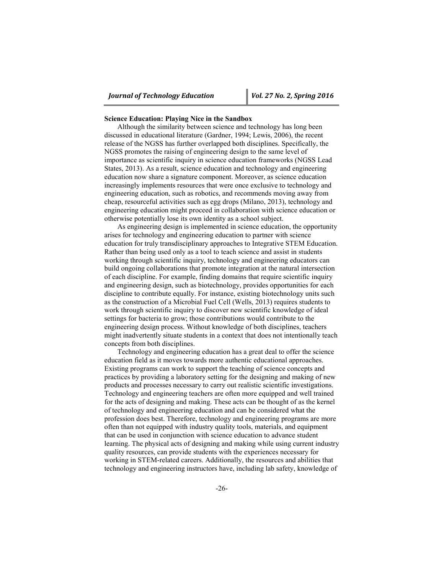## **Science Education: Playing Nice in the Sandbox**

Although the similarity between science and technology has long been discussed in educational literature (Gardner, 1994; Lewis, 2006), the recent release of the NGSS has further overlapped both disciplines. Specifically, the NGSS promotes the raising of engineering design to the same level of importance as scientific inquiry in science education frameworks (NGSS Lead States, 2013). As a result, science education and technology and engineering education now share a signature component. Moreover, as science education increasingly implements resources that were once exclusive to technology and engineering education, such as robotics, and recommends moving away from cheap, resourceful activities such as egg drops (Milano, 2013), technology and engineering education might proceed in collaboration with science education or otherwise potentially lose its own identity as a school subject.

As engineering design is implemented in science education, the opportunity arises for technology and engineering education to partner with science education for truly transdisciplinary approaches to Integrative STEM Education. Rather than being used only as a tool to teach science and assist in students working through scientific inquiry, technology and engineering educators can build ongoing collaborations that promote integration at the natural intersection of each discipline. For example, finding domains that require scientific inquiry and engineering design, such as biotechnology, provides opportunities for each discipline to contribute equally. For instance, existing biotechnology units such as the construction of a Microbial Fuel Cell (Wells, 2013) requires students to work through scientific inquiry to discover new scientific knowledge of ideal settings for bacteria to grow; those contributions would contribute to the engineering design process. Without knowledge of both disciplines, teachers might inadvertently situate students in a context that does not intentionally teach concepts from both disciplines.

Technology and engineering education has a great deal to offer the science education field as it moves towards more authentic educational approaches. Existing programs can work to support the teaching of science concepts and practices by providing a laboratory setting for the designing and making of new products and processes necessary to carry out realistic scientific investigations. Technology and engineering teachers are often more equipped and well trained for the acts of designing and making. These acts can be thought of as the kernel of technology and engineering education and can be considered what the profession does best. Therefore, technology and engineering programs are more often than not equipped with industry quality tools, materials, and equipment that can be used in conjunction with science education to advance student learning. The physical acts of designing and making while using current industry quality resources, can provide students with the experiences necessary for working in STEM-related careers. Additionally, the resources and abilities that technology and engineering instructors have, including lab safety, knowledge of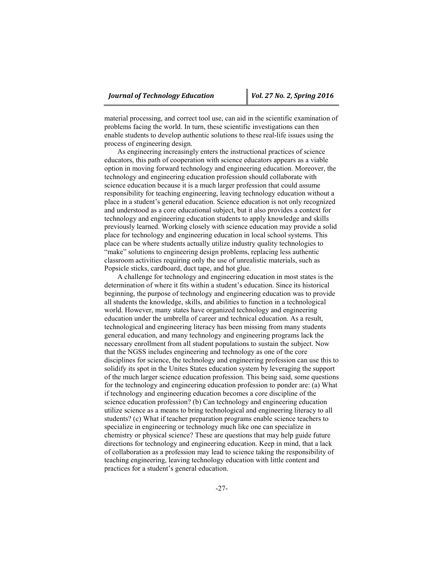material processing, and correct tool use, can aid in the scientific examination of problems facing the world. In turn, these scientific investigations can then enable students to develop authentic solutions to these real-life issues using the process of engineering design.

As engineering increasingly enters the instructional practices of science educators, this path of cooperation with science educators appears as a viable option in moving forward technology and engineering education. Moreover, the technology and engineering education profession should collaborate with science education because it is a much larger profession that could assume responsibility for teaching engineering, leaving technology education without a place in a student's general education. Science education is not only recognized and understood as a core educational subject, but it also provides a context for technology and engineering education students to apply knowledge and skills previously learned. Working closely with science education may provide a solid place for technology and engineering education in local school systems. This place can be where students actually utilize industry quality technologies to "make" solutions to engineering design problems, replacing less authentic classroom activities requiring only the use of unrealistic materials, such as Popsicle sticks, cardboard, duct tape, and hot glue.

A challenge for technology and engineering education in most states is the determination of where it fits within a student's education. Since its historical beginning, the purpose of technology and engineering education was to provide all students the knowledge, skills, and abilities to function in a technological world. However, many states have organized technology and engineering education under the umbrella of career and technical education. As a result, technological and engineering literacy has been missing from many students general education, and many technology and engineering programs lack the necessary enrollment from all student populations to sustain the subject. Now that the NGSS includes engineering and technology as one of the core disciplines for science, the technology and engineering profession can use this to solidify its spot in the Unites States education system by leveraging the support of the much larger science education profession. This being said, some questions for the technology and engineering education profession to ponder are: (a) What if technology and engineering education becomes a core discipline of the science education profession? (b) Can technology and engineering education utilize science as a means to bring technological and engineering literacy to all students? (c) What if teacher preparation programs enable science teachers to specialize in engineering or technology much like one can specialize in chemistry or physical science? These are questions that may help guide future directions for technology and engineering education. Keep in mind, that a lack of collaboration as a profession may lead to science taking the responsibility of teaching engineering, leaving technology education with little content and practices for a student's general education.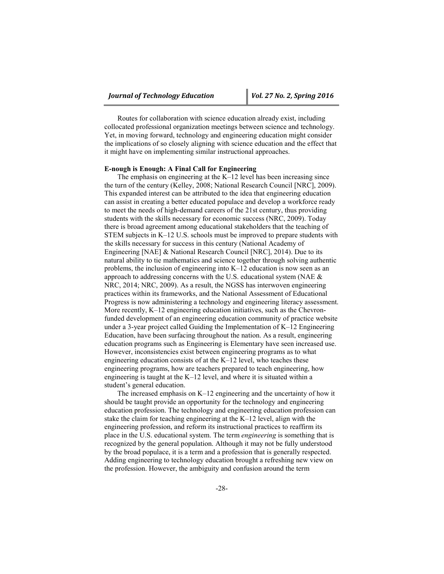Routes for collaboration with science education already exist, including collocated professional organization meetings between science and technology. Yet, in moving forward, technology and engineering education might consider the implications of so closely aligning with science education and the effect that it might have on implementing similar instructional approaches.

## **E-nough is Enough: A Final Call for Engineering**

The emphasis on engineering at the K–12 level has been increasing since the turn of the century (Kelley, 2008; National Research Council [NRC], 2009). This expanded interest can be attributed to the idea that engineering education can assist in creating a better educated populace and develop a workforce ready to meet the needs of high-demand careers of the 21st century, thus providing students with the skills necessary for economic success (NRC, 2009). Today there is broad agreement among educational stakeholders that the teaching of STEM subjects in K–12 U.S. schools must be improved to prepare students with the skills necessary for success in this century (National Academy of Engineering [NAE] & National Research Council [NRC], 2014). Due to its natural ability to tie mathematics and science together through solving authentic problems, the inclusion of engineering into K–12 education is now seen as an approach to addressing concerns with the U.S. educational system (NAE & NRC, 2014; NRC, 2009). As a result, the NGSS has interwoven engineering practices within its frameworks, and the National Assessment of Educational Progress is now administering a technology and engineering literacy assessment. More recently, K–12 engineering education initiatives, such as the Chevronfunded development of an engineering education community of practice website under a 3-year project called Guiding the Implementation of K–12 Engineering Education, have been surfacing throughout the nation. As a result, engineering education programs such as Engineering is Elementary have seen increased use. However, inconsistencies exist between engineering programs as to what engineering education consists of at the K–12 level, who teaches these engineering programs, how are teachers prepared to teach engineering, how engineering is taught at the K–12 level, and where it is situated within a student's general education.

The increased emphasis on K–12 engineering and the uncertainty of how it should be taught provide an opportunity for the technology and engineering education profession. The technology and engineering education profession can stake the claim for teaching engineering at the K–12 level, align with the engineering profession, and reform its instructional practices to reaffirm its place in the U.S. educational system. The term *engineering* is something that is recognized by the general population. Although it may not be fully understood by the broad populace, it is a term and a profession that is generally respected. Adding engineering to technology education brought a refreshing new view on the profession. However, the ambiguity and confusion around the term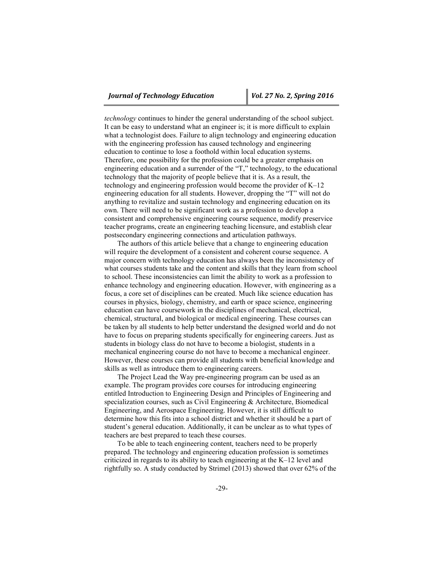*technology* continues to hinder the general understanding of the school subject. It can be easy to understand what an engineer is; it is more difficult to explain what a technologist does. Failure to align technology and engineering education with the engineering profession has caused technology and engineering education to continue to lose a foothold within local education systems. Therefore, one possibility for the profession could be a greater emphasis on engineering education and a surrender of the "T," technology, to the educational technology that the majority of people believe that it is. As a result, the technology and engineering profession would become the provider of K–12 engineering education for all students. However, dropping the "T" will not do anything to revitalize and sustain technology and engineering education on its own. There will need to be significant work as a profession to develop a consistent and comprehensive engineering course sequence, modify preservice teacher programs, create an engineering teaching licensure, and establish clear postsecondary engineering connections and articulation pathways.

The authors of this article believe that a change to engineering education will require the development of a consistent and coherent course sequence. A major concern with technology education has always been the inconsistency of what courses students take and the content and skills that they learn from school to school. These inconsistencies can limit the ability to work as a profession to enhance technology and engineering education. However, with engineering as a focus, a core set of disciplines can be created. Much like science education has courses in physics, biology, chemistry, and earth or space science, engineering education can have coursework in the disciplines of mechanical, electrical, chemical, structural, and biological or medical engineering. These courses can be taken by all students to help better understand the designed world and do not have to focus on preparing students specifically for engineering careers. Just as students in biology class do not have to become a biologist, students in a mechanical engineering course do not have to become a mechanical engineer. However, these courses can provide all students with beneficial knowledge and skills as well as introduce them to engineering careers.

The Project Lead the Way pre-engineering program can be used as an example. The program provides core courses for introducing engineering entitled Introduction to Engineering Design and Principles of Engineering and specialization courses, such as Civil Engineering & Architecture, Biomedical Engineering, and Aerospace Engineering. However, it is still difficult to determine how this fits into a school district and whether it should be a part of student's general education. Additionally, it can be unclear as to what types of teachers are best prepared to teach these courses.

To be able to teach engineering content, teachers need to be properly prepared. The technology and engineering education profession is sometimes criticized in regards to its ability to teach engineering at the K–12 level and rightfully so. A study conducted by Strimel (2013) showed that over 62% of the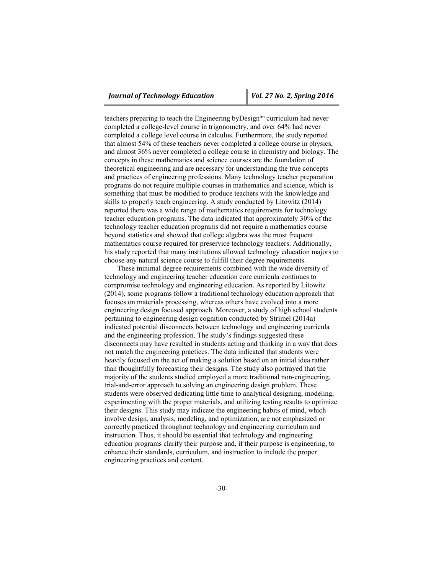teachers preparing to teach the Engineering byDesign<sup>tm</sup> curriculum had never completed a college-level course in trigonometry, and over 64% had never completed a college level course in calculus. Furthermore, the study reported that almost 54% of these teachers never completed a college course in physics, and almost 36% never completed a college course in chemistry and biology. The concepts in these mathematics and science courses are the foundation of theoretical engineering and are necessary for understanding the true concepts and practices of engineering professions. Many technology teacher preparation programs do not require multiple courses in mathematics and science, which is something that must be modified to produce teachers with the knowledge and skills to properly teach engineering. A study conducted by Litowitz (2014) reported there was a wide range of mathematics requirements for technology teacher education programs. The data indicated that approximately 30% of the technology teacher education programs did not require a mathematics course beyond statistics and showed that college algebra was the most frequent mathematics course required for preservice technology teachers. Additionally, his study reported that many institutions allowed technology education majors to choose any natural science course to fulfill their degree requirements.

These minimal degree requirements combined with the wide diversity of technology and engineering teacher education core curricula continues to compromise technology and engineering education. As reported by Litowitz (2014), some programs follow a traditional technology education approach that focuses on materials processing, whereas others have evolved into a more engineering design focused approach. Moreover, a study of high school students pertaining to engineering design cognition conducted by Strimel (2014a) indicated potential disconnects between technology and engineering curricula and the engineering profession. The study's findings suggested these disconnects may have resulted in students acting and thinking in a way that does not match the engineering practices. The data indicated that students were heavily focused on the act of making a solution based on an initial idea rather than thoughtfully forecasting their designs. The study also portrayed that the majority of the students studied employed a more traditional non-engineering, trial-and-error approach to solving an engineering design problem. These students were observed dedicating little time to analytical designing, modeling, experimenting with the proper materials, and utilizing testing results to optimize their designs. This study may indicate the engineering habits of mind, which involve design, analysis, modeling, and optimization, are not emphasized or correctly practiced throughout technology and engineering curriculum and instruction. Thus, it should be essential that technology and engineering education programs clarify their purpose and, if their purpose is engineering, to enhance their standards, curriculum, and instruction to include the proper engineering practices and content.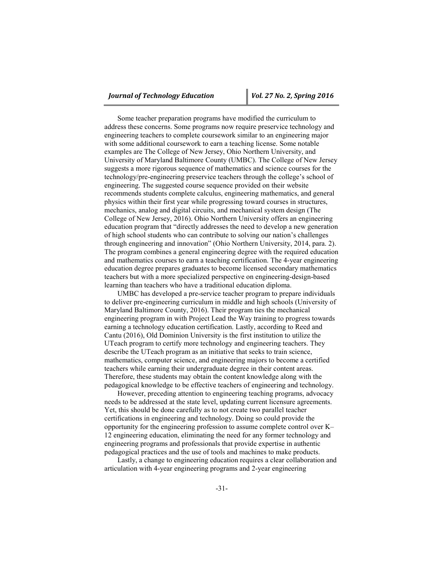Some teacher preparation programs have modified the curriculum to address these concerns. Some programs now require preservice technology and engineering teachers to complete coursework similar to an engineering major with some additional coursework to earn a teaching license. Some notable examples are The College of New Jersey, Ohio Northern University, and University of Maryland Baltimore County (UMBC). The College of New Jersey suggests a more rigorous sequence of mathematics and science courses for the technology/pre-engineering preservice teachers through the college's school of engineering. The suggested course sequence provided on their website recommends students complete calculus, engineering mathematics, and general physics within their first year while progressing toward courses in structures, mechanics, analog and digital circuits, and mechanical system design (The College of New Jersey, 2016). Ohio Northern University offers an engineering education program that "directly addresses the need to develop a new generation of high school students who can contribute to solving our nation's challenges through engineering and innovation" (Ohio Northern University, 2014, para. 2). The program combines a general engineering degree with the required education and mathematics courses to earn a teaching certification. The 4-year engineering education degree prepares graduates to become licensed secondary mathematics teachers but with a more specialized perspective on engineering-design-based learning than teachers who have a traditional education diploma.

UMBC has developed a pre-service teacher program to prepare individuals to deliver pre-engineering curriculum in middle and high schools (University of Maryland Baltimore County, 2016). Their program ties the mechanical engineering program in with Project Lead the Way training to progress towards earning a technology education certification. Lastly, according to Reed and Cantu (2016), Old Dominion University is the first institution to utilize the UTeach program to certify more technology and engineering teachers. They describe the UTeach program as an initiative that seeks to train science, mathematics, computer science, and engineering majors to become a certified teachers while earning their undergraduate degree in their content areas. Therefore, these students may obtain the content knowledge along with the pedagogical knowledge to be effective teachers of engineering and technology.

However, preceding attention to engineering teaching programs, advocacy needs to be addressed at the state level, updating current licensure agreements. Yet, this should be done carefully as to not create two parallel teacher certifications in engineering and technology. Doing so could provide the opportunity for the engineering profession to assume complete control over K– 12 engineering education, eliminating the need for any former technology and engineering programs and professionals that provide expertise in authentic pedagogical practices and the use of tools and machines to make products.

Lastly, a change to engineering education requires a clear collaboration and articulation with 4-year engineering programs and 2-year engineering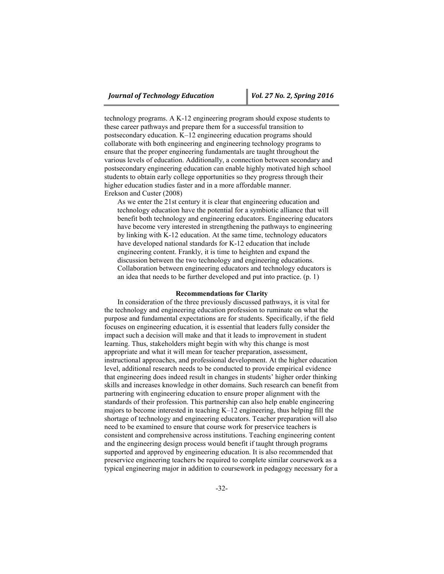technology programs. A K-12 engineering program should expose students to these career pathways and prepare them for a successful transition to postsecondary education. K–12 engineering education programs should collaborate with both engineering and engineering technology programs to ensure that the proper engineering fundamentals are taught throughout the various levels of education. Additionally, a connection between secondary and postsecondary engineering education can enable highly motivated high school students to obtain early college opportunities so they progress through their higher education studies faster and in a more affordable manner. Erekson and Custer (2008)

As we enter the 21st century it is clear that engineering education and technology education have the potential for a symbiotic alliance that will benefit both technology and engineering educators. Engineering educators have become very interested in strengthening the pathways to engineering by linking with K-12 education. At the same time, technology educators have developed national standards for K-12 education that include engineering content. Frankly, it is time to heighten and expand the discussion between the two technology and engineering educations. Collaboration between engineering educators and technology educators is an idea that needs to be further developed and put into practice. (p. 1)

## **Recommendations for Clarity**

In consideration of the three previously discussed pathways, it is vital for the technology and engineering education profession to ruminate on what the purpose and fundamental expectations are for students. Specifically, if the field focuses on engineering education, it is essential that leaders fully consider the impact such a decision will make and that it leads to improvement in student learning. Thus, stakeholders might begin with why this change is most appropriate and what it will mean for teacher preparation, assessment, instructional approaches, and professional development. At the higher education level, additional research needs to be conducted to provide empirical evidence that engineering does indeed result in changes in students' higher order thinking skills and increases knowledge in other domains. Such research can benefit from partnering with engineering education to ensure proper alignment with the standards of their profession. This partnership can also help enable engineering majors to become interested in teaching K–12 engineering, thus helping fill the shortage of technology and engineering educators. Teacher preparation will also need to be examined to ensure that course work for preservice teachers is consistent and comprehensive across institutions. Teaching engineering content and the engineering design process would benefit if taught through programs supported and approved by engineering education. It is also recommended that preservice engineering teachers be required to complete similar coursework as a typical engineering major in addition to coursework in pedagogy necessary for a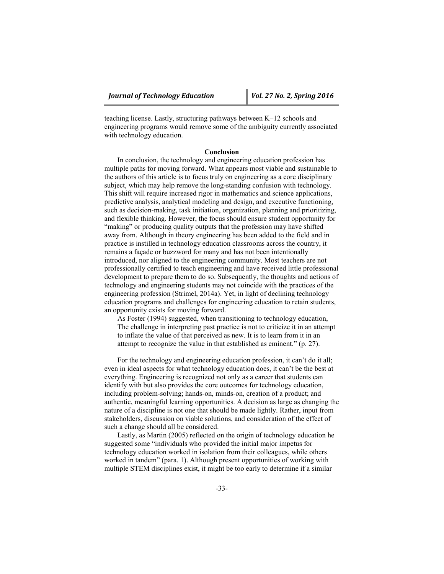teaching license. Lastly, structuring pathways between K–12 schools and engineering programs would remove some of the ambiguity currently associated with technology education.

## **Conclusion**

In conclusion, the technology and engineering education profession has multiple paths for moving forward. What appears most viable and sustainable to the authors of this article is to focus truly on engineering as a core disciplinary subject, which may help remove the long-standing confusion with technology. This shift will require increased rigor in mathematics and science applications, predictive analysis, analytical modeling and design, and executive functioning, such as decision-making, task initiation, organization, planning and prioritizing, and flexible thinking. However, the focus should ensure student opportunity for "making" or producing quality outputs that the profession may have shifted away from. Although in theory engineering has been added to the field and in practice is instilled in technology education classrooms across the country, it remains a façade or buzzword for many and has not been intentionally introduced, nor aligned to the engineering community. Most teachers are not professionally certified to teach engineering and have received little professional development to prepare them to do so. Subsequently, the thoughts and actions of technology and engineering students may not coincide with the practices of the engineering profession (Strimel, 2014a). Yet, in light of declining technology education programs and challenges for engineering education to retain students, an opportunity exists for moving forward.

As Foster (1994) suggested, when transitioning to technology education, The challenge in interpreting past practice is not to criticize it in an attempt to inflate the value of that perceived as new. It is to learn from it in an attempt to recognize the value in that established as eminent." (p. 27).

For the technology and engineering education profession, it can't do it all; even in ideal aspects for what technology education does, it can't be the best at everything. Engineering is recognized not only as a career that students can identify with but also provides the core outcomes for technology education, including problem-solving; hands-on, minds-on, creation of a product; and authentic, meaningful learning opportunities. A decision as large as changing the nature of a discipline is not one that should be made lightly. Rather, input from stakeholders, discussion on viable solutions, and consideration of the effect of such a change should all be considered.

Lastly, as Martin (2005) reflected on the origin of technology education he suggested some "individuals who provided the initial major impetus for technology education worked in isolation from their colleagues, while others worked in tandem" (para. 1). Although present opportunities of working with multiple STEM disciplines exist, it might be too early to determine if a similar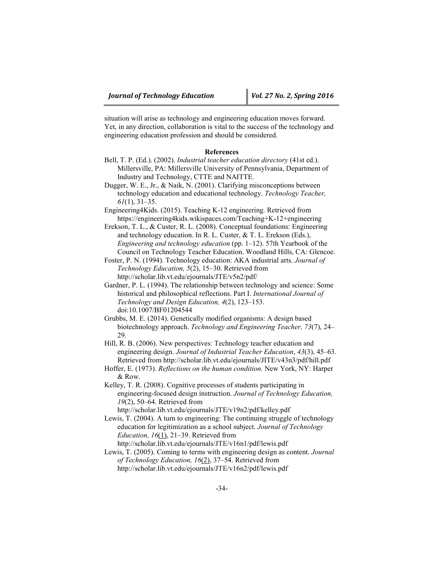situation will arise as technology and engineering education moves forward. Yet, in any direction, collaboration is vital to the success of the technology and engineering education profession and should be considered.

#### **References**

- Bell, T. P. (Ed.). (2002). *Industrial teacher education directory* (41st ed.). Millersville, PA: Millersville University of Pennsylvania, Department of Industry and Technology, CTTE and NAITTE.
- Dugger, W. E., Jr., & Naik, N. (2001). Clarifying misconceptions between technology education and educational technology. *Technology Teacher, 61*(1), 31–35.

Engineering4Kids. (2015). Teaching K-12 engineering. Retrieved from https://engineering4kids.wikispaces.com/Teaching+K-12+engineering

Erekson, T. L., & Custer, R. L. (2008). Conceptual foundations: Engineering and technology education. In R. L. Custer, & T. L. Erekson (Eds.), *Engineering and technology education* (pp. 1–12). 57th Yearbook of the Council on Technology Teacher Education. Woodland Hills, CA: Glencoe.

Foster, P. N. (1994). Technology education: AKA industrial arts. *Journal of Technology Education, 5*(2), 15–30. Retrieved from http://scholar.lib.vt.edu/ejournals/JTE/v5n2/pdf/

Gardner, P. L. (1994). The relationship between technology and science: Some historical and philosophical reflections. Part I. *International Journal of Technology and Design Education, 4*(2), 123–153. doi:10.1007/BF01204544

Grubbs, M. E. (2014). Genetically modified organisms: A design based biotechnology approach. *Technology and Engineering Teacher, 73*(7), 24– 29.

Hill, R. B. (2006). New perspectives: Technology teacher education and engineering design. *Journal of Industrial Teacher Education*, *43*(3), 45–63. Retrieved from http://scholar.lib.vt.edu/ejournals/JITE/v43n3/pdf/hill.pdf

Kelley, T. R. (2008). Cognitive processes of students participating in engineering-focused design instruction. *Journal of Technology Education, 19*(2), 50–64. Retrieved from

http://scholar.lib.vt.edu/ejournals/JTE/v19n2/pdf/kelley.pdf

Lewis, T. (2004). A turn to engineering: The continuing struggle of technology education for legitimization as a school subject. *Journal of Technology Education, 16*(1), 21–39. Retrieved from http://scholar.lib.vt.edu/ejournals/JTE/v16n1/pdf/lewis.pdf

Lewis, T. (2005). Coming to terms with engineering design as content. *Journal of Technology Education, 16*(2), 37–54. Retrieved from http://scholar.lib.vt.edu/ejournals/JTE/v16n2/pdf/lewis.pdf

Hoffer, E. (1973). *Reflections on the human condition.* New York, NY: Harper & Row.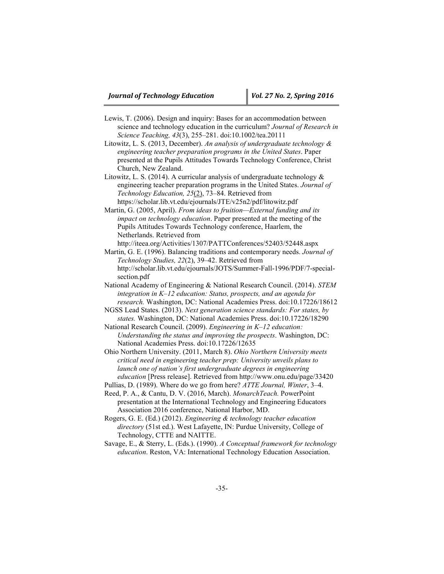- Lewis, T. (2006). Design and inquiry: Bases for an accommodation between science and technology education in the curriculum? *Journal of Research in Science Teaching, 43*(3), 255–281. doi:10.1002/tea.20111
- Litowitz, L. S. (2013, December). *An analysis of undergraduate technology & engineering teacher preparation programs in the United States*. Paper presented at the Pupils Attitudes Towards Technology Conference, Christ Church, New Zealand.
- Litowitz, L. S. (2014). A curricular analysis of undergraduate technology  $\&$ engineering teacher preparation programs in the United States. *Journal of Technology Education, 25*(2), 73–84. Retrieved from https://scholar.lib.vt.edu/ejournals/JTE/v25n2/pdf/litowitz.pdf
- Martin, G. (2005, April). *From ideas to fruition—External funding and its impact on technology education*. Paper presented at the meeting of the Pupils Attitudes Towards Technology conference, Haarlem, the Netherlands. Retrieved from
	- http://iteea.org/Activities/1307/PATTConferences/52403/52448.aspx
- Martin, G. E. (1996). Balancing traditions and contemporary needs. *Journal of Technology Studies, 22*(2), 39–42. Retrieved from http://scholar.lib.vt.edu/ejournals/JOTS/Summer-Fall-1996/PDF/7-specialsection.pdf
- National Academy of Engineering & National Research Council. (2014). *STEM integration in K–12 education: Status, prospects, and an agenda for research.* Washington, DC: National Academies Press. doi:10.17226/18612
- NGSS Lead States. (2013). *Next generation science standards: For states, by states.* Washington, DC: National Academies Press. doi:10.17226/18290
- National Research Council. (2009). *Engineering in K–12 education: Understanding the status and improving the prospects*. Washington, DC: National Academies Press. doi:10.17226/12635
- Ohio Northern University. (2011, March 8). *Ohio Northern University meets critical need in engineering teacher prep: University unveils plans to launch one of nation's first undergraduate degrees in engineering education* [Press release]. Retrieved from http://www.onu.edu/page/33420
- Pullias, D. (1989). Where do we go from here? *ATTE Journal, Winter*, 3–4.
- Reed, P. A., & Cantu, D. V. (2016, March). *MonarchTeach.* PowerPoint presentation at the International Technology and Engineering Educators Association 2016 conference, National Harbor, MD.
- Rogers, G. E. (Ed.) (2012). *Engineering & technology teacher education directory* (51st ed.). West Lafayette, IN: Purdue University, College of Technology, CTTE and NAITTE.
- Savage, E., & Sterry, L. (Eds.). (1990). *A Conceptual framework for technology education*. Reston, VA: International Technology Education Association.